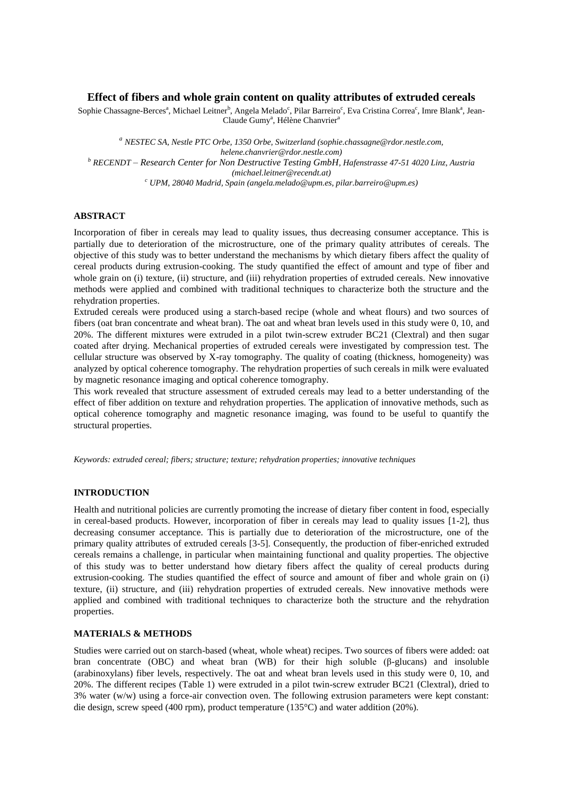# **Effect of fibers and whole grain content on quality attributes of extruded cereals**

Sophie Chassagne-Berces<sup>a</sup>, Michael Leitner<sup>b</sup>, Angela Melado<sup>c</sup>, Pilar Barreiro<sup>c</sup>, Eva Cristina Correa<sup>c</sup>, Imre Blank<sup>a</sup>, Jean-Claude Gumy<sup>a</sup>, Hélène Chanvrier<sup>a</sup>

*a NESTEC SA, Nestle PTC Orbe, 1350 Orbe, Switzerland (sophie.chassagne@rdor.nestle.com, helene.chanvrier@rdor.nestle.com) <sup>b</sup> RECENDT – Research Center for Non Destructive Testing GmbH, Hafenstrasse 47-51 4020 Linz, Austria (michael.leitner@recendt.at) <sup>c</sup> UPM, 28040 Madrid, Spain (angela.melado@upm.es, pilar.barreiro@upm.es)*

## **ABSTRACT**

Incorporation of fiber in cereals may lead to quality issues, thus decreasing consumer acceptance. This is partially due to deterioration of the microstructure, one of the primary quality attributes of cereals. The objective of this study was to better understand the mechanisms by which dietary fibers affect the quality of cereal products during extrusion-cooking. The study quantified the effect of amount and type of fiber and whole grain on (i) texture, (ii) structure, and (iii) rehydration properties of extruded cereals. New innovative methods were applied and combined with traditional techniques to characterize both the structure and the rehydration properties.

Extruded cereals were produced using a starch-based recipe (whole and wheat flours) and two sources of fibers (oat bran concentrate and wheat bran). The oat and wheat bran levels used in this study were 0, 10, and 20%. The different mixtures were extruded in a pilot twin-screw extruder BC21 (Clextral) and then sugar coated after drying. Mechanical properties of extruded cereals were investigated by compression test. The cellular structure was observed by X-ray tomography. The quality of coating (thickness, homogeneity) was analyzed by optical coherence tomography. The rehydration properties of such cereals in milk were evaluated by magnetic resonance imaging and optical coherence tomography.

This work revealed that structure assessment of extruded cereals may lead to a better understanding of the effect of fiber addition on texture and rehydration properties. The application of innovative methods, such as optical coherence tomography and magnetic resonance imaging, was found to be useful to quantify the structural properties.

*Keywords: extruded cereal; fibers; structure; texture; rehydration properties; innovative techniques*

### **INTRODUCTION**

Health and nutritional policies are currently promoting the increase of dietary fiber content in food, especially in cereal-based products. However, incorporation of fiber in cereals may lead to quality issues [1-2], thus decreasing consumer acceptance. This is partially due to deterioration of the microstructure, one of the primary quality attributes of extruded cereals [3-5]. Consequently, the production of fiber-enriched extruded cereals remains a challenge, in particular when maintaining functional and quality properties. The objective of this study was to better understand how dietary fibers affect the quality of cereal products during extrusion-cooking. The studies quantified the effect of source and amount of fiber and whole grain on (i) texture, (ii) structure, and (iii) rehydration properties of extruded cereals. New innovative methods were applied and combined with traditional techniques to characterize both the structure and the rehydration properties.

### **MATERIALS & METHODS**

Studies were carried out on starch-based (wheat, whole wheat) recipes. Two sources of fibers were added: oat bran concentrate (OBC) and wheat bran (WB) for their high soluble (β-glucans) and insoluble (arabinoxylans) fiber levels, respectively. The oat and wheat bran levels used in this study were 0, 10, and 20%. The different recipes (Table 1) were extruded in a pilot twin-screw extruder BC21 (Clextral), dried to 3% water (w/w) using a force-air convection oven. The following extrusion parameters were kept constant: die design, screw speed (400 rpm), product temperature (135°C) and water addition (20%).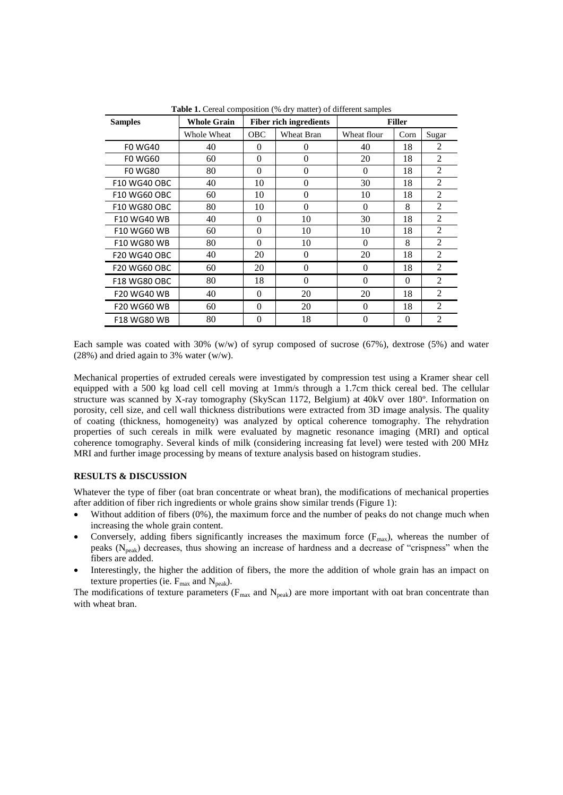| <b>Samples</b>      | <b>Whole Grain</b> | <b>Fiber rich ingredients</b> |                   | <b>Filler</b> |          |                |
|---------------------|--------------------|-------------------------------|-------------------|---------------|----------|----------------|
|                     | Whole Wheat        | <b>OBC</b>                    | <b>Wheat Bran</b> | Wheat flour   | Corn     | Sugar          |
| <b>FO WG40</b>      | 40                 | $\Omega$                      | $\Omega$          | 40            | 18       | 2              |
| <b>FO WG60</b>      | 60                 | $\theta$                      | $\theta$          | 20            | 18       | $\overline{2}$ |
| <b>FO WG80</b>      | 80                 | $\Omega$                      | $\theta$          | $\Omega$      | 18       | $\mathfrak{D}$ |
| <b>F10 WG40 OBC</b> | 40                 | 10                            | $\theta$          | 30            | 18       | $\overline{2}$ |
| <b>F10 WG60 OBC</b> | 60                 | 10                            | $\theta$          | 10            | 18       | 2              |
| <b>F10 WG80 OBC</b> | 80                 | 10                            | $\theta$          | $\Omega$      | 8        | 2              |
| <b>F10 WG40 WB</b>  | 40                 | $\Omega$                      | 10                | 30            | 18       | $\mathfrak{D}$ |
| <b>F10 WG60 WB</b>  | 60                 | $\theta$                      | 10                | 10            | 18       | $\mathfrak{D}$ |
| <b>F10 WG80 WB</b>  | 80                 | $\theta$                      | 10                | $\Omega$      | 8        | $\overline{2}$ |
| <b>F20 WG40 OBC</b> | 40                 | 20                            | $\theta$          | 20            | 18       | $\overline{c}$ |
| <b>F20 WG60 OBC</b> | 60                 | 20                            | $\Omega$          | $\Omega$      | 18       | 2              |
| <b>F18 WG80 OBC</b> | 80                 | 18                            | $\Omega$          | $\Omega$      | $\theta$ | $\overline{c}$ |
| <b>F20 WG40 WB</b>  | 40                 | $\Omega$                      | 20                | 20            | 18       | $\overline{2}$ |
| <b>F20 WG60 WB</b>  | 60                 | $\theta$                      | 20                | $\Omega$      | 18       | $\overline{c}$ |
| <b>F18 WG80 WB</b>  | 80                 | $\theta$                      | 18                | $\theta$      | $\theta$ | $\overline{c}$ |

**Table 1.** Cereal composition (% dry matter) of different samples

Each sample was coated with 30% (w/w) of syrup composed of sucrose (67%), dextrose (5%) and water (28%) and dried again to 3% water (w/w).

Mechanical properties of extruded cereals were investigated by compression test using a Kramer shear cell equipped with a 500 kg load cell cell moving at 1mm/s through a 1.7cm thick cereal bed. The cellular structure was scanned by X-ray tomography (SkyScan 1172, Belgium) at 40kV over 180º. Information on porosity, cell size, and cell wall thickness distributions were extracted from 3D image analysis. The quality of coating (thickness, homogeneity) was analyzed by optical coherence tomography. The rehydration properties of such cereals in milk were evaluated by magnetic resonance imaging (MRI) and optical coherence tomography. Several kinds of milk (considering increasing fat level) were tested with 200 MHz MRI and further image processing by means of texture analysis based on histogram studies.

# **RESULTS & DISCUSSION**

Whatever the type of fiber (oat bran concentrate or wheat bran), the modifications of mechanical properties after addition of fiber rich ingredients or whole grains show similar trends (Figure 1):

- Without addition of fibers (0%), the maximum force and the number of peaks do not change much when increasing the whole grain content.
- Conversely, adding fibers significantly increases the maximum force  $(F_{\text{max}})$ , whereas the number of peaks  $(N_{peak})$  decreases, thus showing an increase of hardness and a decrease of "crispness" when the fibers are added.
- Interestingly, the higher the addition of fibers, the more the addition of whole grain has an impact on texture properties (ie.  $F_{\text{max}}$  and  $N_{\text{peak}}$ ).

The modifications of texture parameters ( $F_{\text{max}}$  and  $N_{\text{peak}}$ ) are more important with oat bran concentrate than with wheat bran.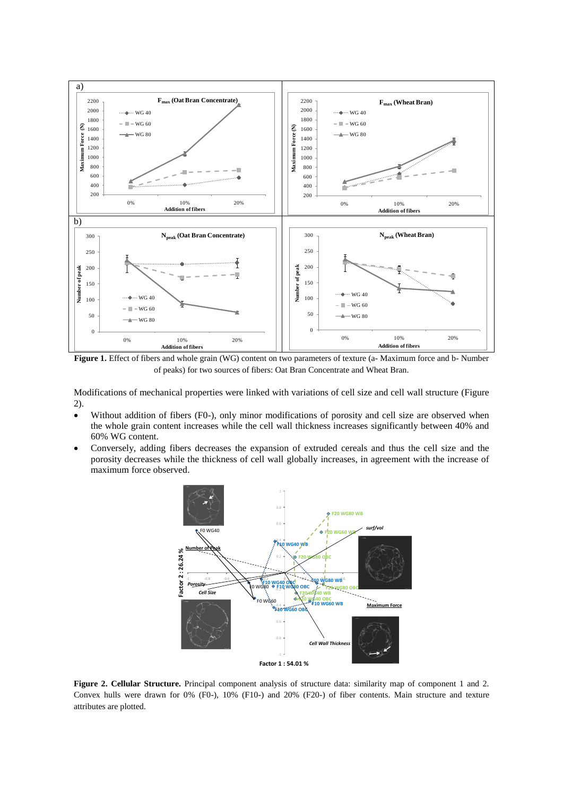

**Figure 1.** Effect of fibers and whole grain (WG) content on two parameters of texture (a- Maximum force and b- Number of peaks) for two sources of fibers: Oat Bran Concentrate and Wheat Bran.

Modifications of mechanical properties were linked with variations of cell size and cell wall structure (Figure 2).

- Without addition of fibers (F0-), only minor modifications of porosity and cell size are observed when the whole grain content increases while the cell wall thickness increases significantly between 40% and 60% WG content.
- Conversely, adding fibers decreases the expansion of extruded cereals and thus the cell size and the porosity decreases while the thickness of cell wall globally increases, in agreement with the increase of maximum force observed.



**Figure 2. Cellular Structure.** Principal component analysis of structure data: similarity map of component 1 and 2. Convex hulls were drawn for 0% (F0-), 10% (F10-) and 20% (F20-) of fiber contents. Main structure and texture attributes are plotted.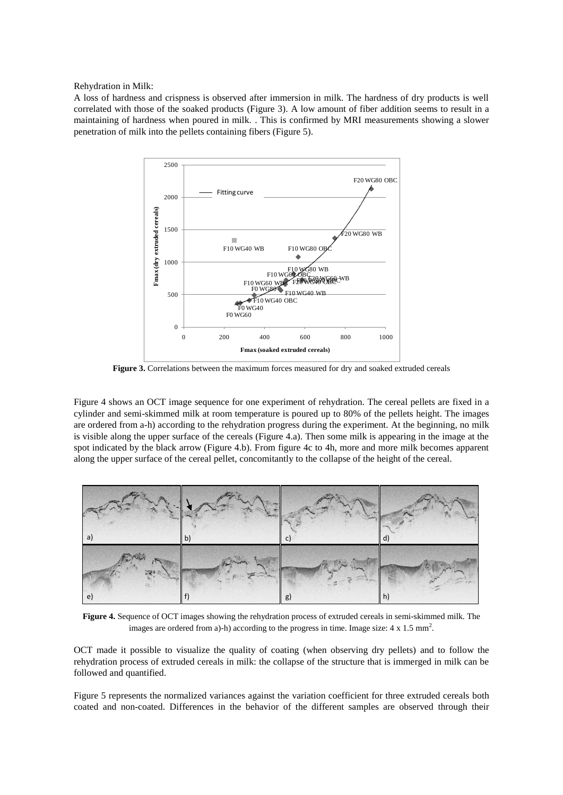Rehydration in Milk:

A loss of hardness and crispness is observed after immersion in milk. The hardness of dry products is well correlated with those of the soaked products (Figure 3). A low amount of fiber addition seems to result in a maintaining of hardness when poured in milk. . This is confirmed by MRI measurements showing a slower penetration of milk into the pellets containing fibers (Figure 5).



**Figure 3.** Correlations between the maximum forces measured for dry and soaked extruded cereals

Figure 4 shows an OCT image sequence for one experiment of rehydration. The cereal pellets are fixed in a cylinder and semi-skimmed milk at room temperature is poured up to 80% of the pellets height. The images are ordered from a-h) according to the rehydration progress during the experiment. At the beginning, no milk is visible along the upper surface of the cereals (Figure 4.a). Then some milk is appearing in the image at the spot indicated by the black arrow (Figure 4.b). From figure 4c to 4h, more and more milk becomes apparent along the upper surface of the cereal pellet, concomitantly to the collapse of the height of the cereal.



**Figure 4.** Sequence of OCT images showing the rehydration process of extruded cereals in semi-skimmed milk. The images are ordered from a)-h) according to the progress in time. Image size:  $4 \times 1.5$  mm<sup>2</sup>.

OCT made it possible to visualize the quality of coating (when observing dry pellets) and to follow the rehydration process of extruded cereals in milk: the collapse of the structure that is immerged in milk can be followed and quantified.

Figure 5 represents the normalized variances against the variation coefficient for three extruded cereals both coated and non-coated. Differences in the behavior of the different samples are observed through their